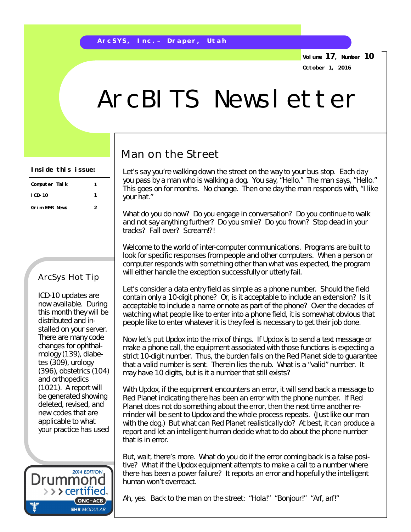**Volume 17, Number 10 October 1, 2016**

## ArcBITS Newsletter

## Man on the Street

Let's say you're walking down the street on the way to your bus stop. Each day you pass by a man who is walking a dog. You say, "Hello." The man says, "Hello." This goes on for months. No change. Then one day the man responds with, "I like your hat."

What do you do now? Do you engage in conversation? Do you continue to walk and not say anything further? Do you smile? Do you frown? Stop dead in your tracks? Fall over? Scream!?!

Welcome to the world of inter-computer communications. Programs are built to look for specific responses from people and other computers. When a person or computer responds with something other than what was expected, the program will either handle the exception successfully or utterly fail.

Let's consider a data entry field as simple as a phone number. Should the field contain only a 10-digit phone? Or, is it acceptable to include an extension? Is it acceptable to include a name or note as part of the phone? Over the decades of watching what people like to enter into a phone field, it is somewhat obvious that people like to enter whatever it is they feel is necessary to get their job done.

Now let's put Updox into the mix of things. If Updox is to send a text message or make a phone call, the equipment associated with those functions is expecting a strict 10-digit number. Thus, the burden falls on the Red Planet side to guarantee that a valid number is sent. Therein lies the rub. What is a "valid" number. It may have 10 digits, but is it a number that still exists?

With Updox, if the equipment encounters an error, it will send back a message to Red Planet indicating there has been an error with the phone number. If Red Planet does not do something about the error, then the next time another reminder will be sent to Updox and the whole process repeats. (Just like our man with the dog.) But what can Red Planet realistically do? At best, it can produce a report and let an intelligent human decide what to do about the phone number that is in error.

But, wait, there's more. What do you do if the error coming back is a false positive? What if the Updox equipment attempts to make a call to a number where there has been a power failure? It reports an error and hopefully the intelligent human won't overreact.

Ah, yes. Back to the man on the street: "Hola!" "Bonjour!" "Arf, arf!"

**Inside this issue:**

| Computer Talk | 1 |
|---------------|---|
| $ICD-10$      |   |
| Grim EMR News | 2 |

## ArcSys Hot Tip

ICD-10 updates are now available. During this month they will be distributed and installed on your server. There are many code changes for ophthalmology (139), diabetes (309), urology (396), obstetrics (104) and orthopedics (1021). A report will be generated showing deleted, revised, and new codes that are applicable to what your practice has used